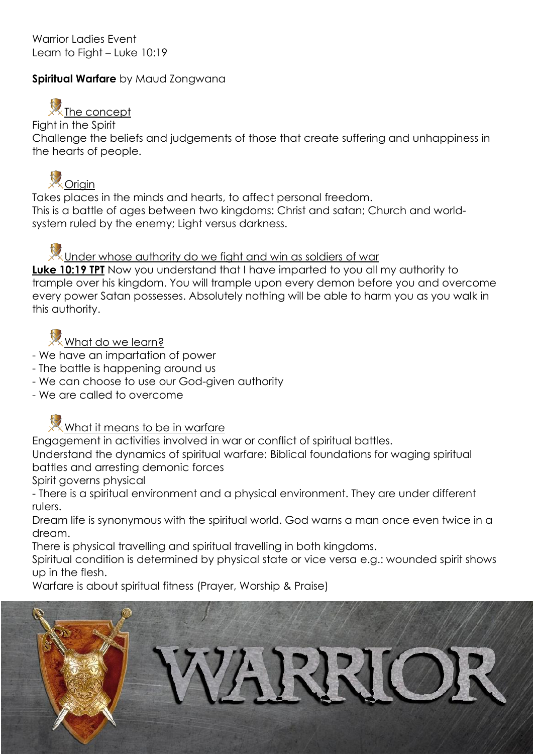Warrior Ladies Event Learn to Fight – Luke 10:19

## **Spiritual Warfare** by Maud Zongwana

## $\mathbb{X}$ The concept

Fight in the Spirit

Challenge the beliefs and judgements of those that create suffering and unhappiness in the hearts of people.



Takes places in the minds and hearts, to affect personal freedom. This is a battle of ages between two kingdoms: Christ and satan; Church and worldsystem ruled by the enemy; Light versus darkness.

Under whose authority do we fight and win as soldiers of war

**Luke 10:19 TPT** Now you understand that I have imparted to you all my authority to trample over his kingdom. You will trample upon every demon before you and overcome every power Satan possesses. Absolutely nothing will be able to harm you as you walk in this authority.

What do we learn?

- We have an impartation of power
- The battle is happening around us
- We can choose to use our God-given authority
- We are called to overcome



Engagement in activities involved in war or conflict of spiritual battles.

Understand the dynamics of spiritual warfare: Biblical foundations for waging spiritual battles and arresting demonic forces

Spirit governs physical

- There is a spiritual environment and a physical environment. They are under different rulers.

Dream life is synonymous with the spiritual world. God warns a man once even twice in a dream.

There is physical travelling and spiritual travelling in both kingdoms.

Spiritual condition is determined by physical state or vice versa e.g.: wounded spirit shows up in the flesh.

Warfare is about spiritual fitness (Prayer, Worship & Praise)